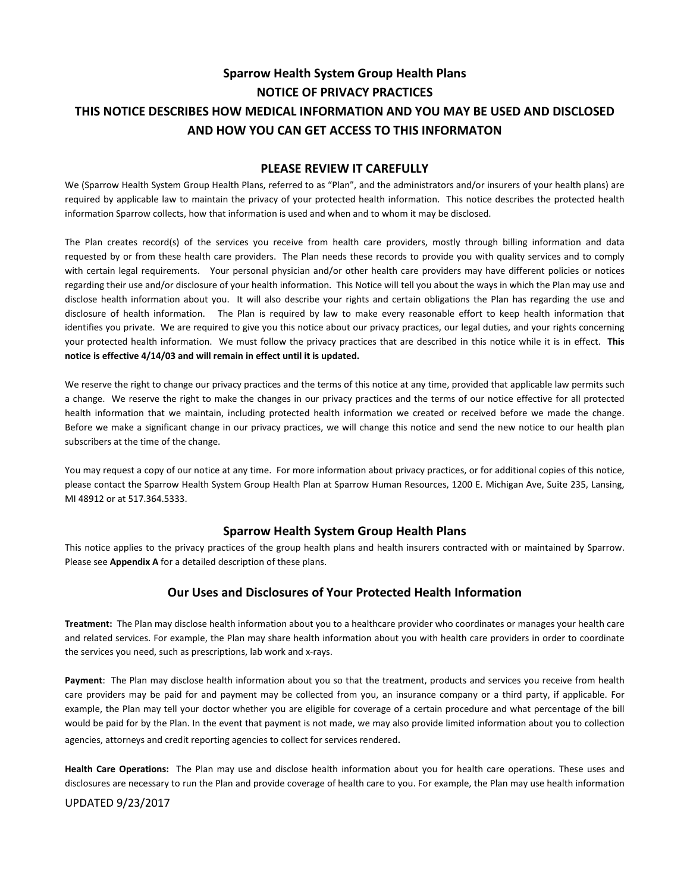# **Sparrow Health System Group Health Plans NOTICE OF PRIVACY PRACTICES THIS NOTICE DESCRIBES HOW MEDICAL INFORMATION AND YOU MAY BE USED AND DISCLOSED AND HOW YOU CAN GET ACCESS TO THIS INFORMATON**

#### **PLEASE REVIEW IT CAREFULLY**

We (Sparrow Health System Group Health Plans, referred to as "Plan", and the administrators and/or insurers of your health plans) are required by applicable law to maintain the privacy of your protected health information. This notice describes the protected health information Sparrow collects, how that information is used and when and to whom it may be disclosed.

The Plan creates record(s) of the services you receive from health care providers, mostly through billing information and data requested by or from these health care providers. The Plan needs these records to provide you with quality services and to comply with certain legal requirements. Your personal physician and/or other health care providers may have different policies or notices regarding their use and/or disclosure of your health information. This Notice will tell you about the ways in which the Plan may use and disclose health information about you. It will also describe your rights and certain obligations the Plan has regarding the use and disclosure of health information. The Plan is required by law to make every reasonable effort to keep health information that identifies you private. We are required to give you this notice about our privacy practices, our legal duties, and your rights concerning your protected health information. We must follow the privacy practices that are described in this notice while it is in effect. **This notice is effective 4/14/03 and will remain in effect until it is updated.**

We reserve the right to change our privacy practices and the terms of this notice at any time, provided that applicable law permits such a change. We reserve the right to make the changes in our privacy practices and the terms of our notice effective for all protected health information that we maintain, including protected health information we created or received before we made the change. Before we make a significant change in our privacy practices, we will change this notice and send the new notice to our health plan subscribers at the time of the change.

You may request a copy of our notice at any time. For more information about privacy practices, or for additional copies of this notice, please contact the Sparrow Health System Group Health Plan at Sparrow Human Resources, 1200 E. Michigan Ave, Suite 235, Lansing, MI 48912 or at 517.364.5333.

# **Sparrow Health System Group Health Plans**

This notice applies to the privacy practices of the group health plans and health insurers contracted with or maintained by Sparrow. Please see **Appendix A** for a detailed description of these plans.

# **Our Uses and Disclosures of Your Protected Health Information**

**Treatment:** The Plan may disclose health information about you to a healthcare provider who coordinates or manages your health care and related services. For example, the Plan may share health information about you with health care providers in order to coordinate the services you need, such as prescriptions, lab work and x-rays.

**Payment**: The Plan may disclose health information about you so that the treatment, products and services you receive from health care providers may be paid for and payment may be collected from you, an insurance company or a third party, if applicable. For example, the Plan may tell your doctor whether you are eligible for coverage of a certain procedure and what percentage of the bill would be paid for by the Plan. In the event that payment is not made, we may also provide limited information about you to collection agencies, attorneys and credit reporting agencies to collect for services rendered.

**Health Care Operations:** The Plan may use and disclose health information about you for health care operations. These uses and disclosures are necessary to run the Plan and provide coverage of health care to you. For example, the Plan may use health information

#### UPDATED 9/23/2017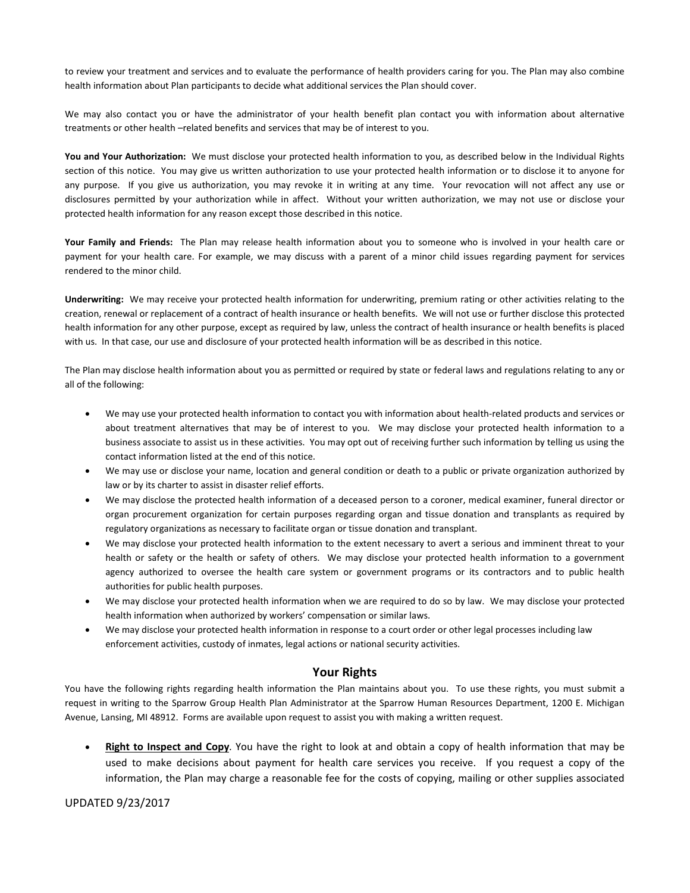to review your treatment and services and to evaluate the performance of health providers caring for you. The Plan may also combine health information about Plan participants to decide what additional services the Plan should cover.

We may also contact you or have the administrator of your health benefit plan contact you with information about alternative treatments or other health –related benefits and services that may be of interest to you.

**You and Your Authorization:** We must disclose your protected health information to you, as described below in the Individual Rights section of this notice. You may give us written authorization to use your protected health information or to disclose it to anyone for any purpose. If you give us authorization, you may revoke it in writing at any time. Your revocation will not affect any use or disclosures permitted by your authorization while in affect. Without your written authorization, we may not use or disclose your protected health information for any reason except those described in this notice.

**Your Family and Friends:** The Plan may release health information about you to someone who is involved in your health care or payment for your health care. For example, we may discuss with a parent of a minor child issues regarding payment for services rendered to the minor child.

**Underwriting:** We may receive your protected health information for underwriting, premium rating or other activities relating to the creation, renewal or replacement of a contract of health insurance or health benefits. We will not use or further disclose this protected health information for any other purpose, except as required by law, unless the contract of health insurance or health benefits is placed with us. In that case, our use and disclosure of your protected health information will be as described in this notice.

The Plan may disclose health information about you as permitted or required by state or federal laws and regulations relating to any or all of the following:

- We may use your protected health information to contact you with information about health-related products and services or about treatment alternatives that may be of interest to you. We may disclose your protected health information to a business associate to assist us in these activities. You may opt out of receiving further such information by telling us using the contact information listed at the end of this notice.
- We may use or disclose your name, location and general condition or death to a public or private organization authorized by law or by its charter to assist in disaster relief efforts.
- We may disclose the protected health information of a deceased person to a coroner, medical examiner, funeral director or organ procurement organization for certain purposes regarding organ and tissue donation and transplants as required by regulatory organizations as necessary to facilitate organ or tissue donation and transplant.
- We may disclose your protected health information to the extent necessary to avert a serious and imminent threat to your health or safety or the health or safety of others. We may disclose your protected health information to a government agency authorized to oversee the health care system or government programs or its contractors and to public health authorities for public health purposes.
- We may disclose your protected health information when we are required to do so by law. We may disclose your protected health information when authorized by workers' compensation or similar laws.
- We may disclose your protected health information in response to a court order or other legal processes including law enforcement activities, custody of inmates, legal actions or national security activities.

#### **Your Rights**

You have the following rights regarding health information the Plan maintains about you. To use these rights, you must submit a request in writing to the Sparrow Group Health Plan Administrator at the Sparrow Human Resources Department, 1200 E. Michigan Avenue, Lansing, MI 48912. Forms are available upon request to assist you with making a written request.

• **Right to Inspect and Copy**. You have the right to look at and obtain a copy of health information that may be used to make decisions about payment for health care services you receive. If you request a copy of the information, the Plan may charge a reasonable fee for the costs of copying, mailing or other supplies associated

UPDATED 9/23/2017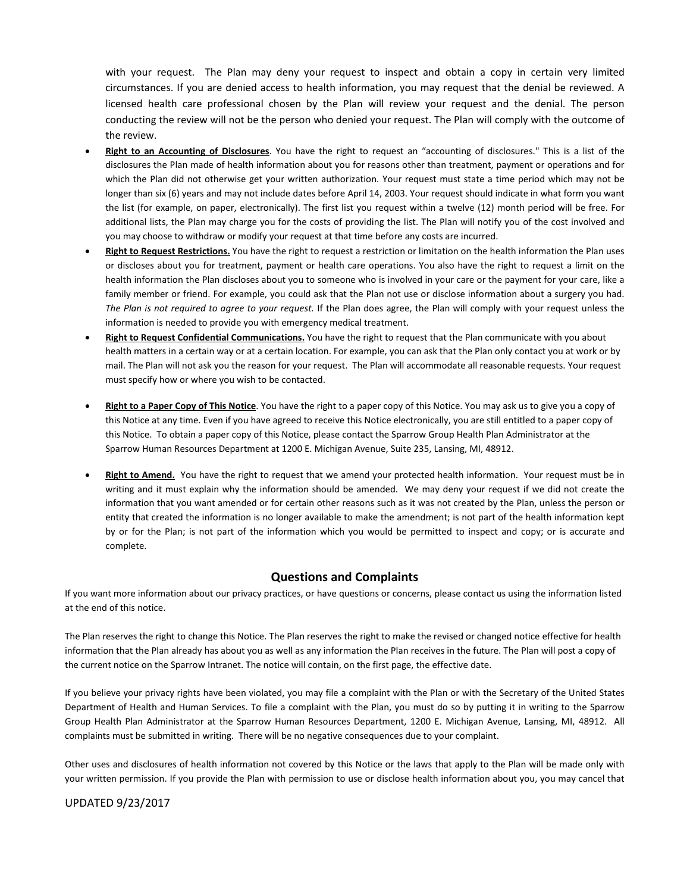with your request. The Plan may deny your request to inspect and obtain a copy in certain very limited circumstances. If you are denied access to health information, you may request that the denial be reviewed. A licensed health care professional chosen by the Plan will review your request and the denial. The person conducting the review will not be the person who denied your request. The Plan will comply with the outcome of the review.

- **Right to an Accounting of Disclosures**. You have the right to request an "accounting of disclosures." This is a list of the disclosures the Plan made of health information about you for reasons other than treatment, payment or operations and for which the Plan did not otherwise get your written authorization. Your request must state a time period which may not be longer than six (6) years and may not include dates before April 14, 2003. Your request should indicate in what form you want the list (for example, on paper, electronically). The first list you request within a twelve (12) month period will be free. For additional lists, the Plan may charge you for the costs of providing the list. The Plan will notify you of the cost involved and you may choose to withdraw or modify your request at that time before any costs are incurred.
- **Right to Request Restrictions.** You have the right to request a restriction or limitation on the health information the Plan uses or discloses about you for treatment, payment or health care operations. You also have the right to request a limit on the health information the Plan discloses about you to someone who is involved in your care or the payment for your care, like a family member or friend. For example, you could ask that the Plan not use or disclose information about a surgery you had. *The Plan is not required to agree to your request.* If the Plan does agree, the Plan will comply with your request unless the information is needed to provide you with emergency medical treatment.
- **Right to Request Confidential Communications.** You have the right to request that the Plan communicate with you about health matters in a certain way or at a certain location. For example, you can ask that the Plan only contact you at work or by mail. The Plan will not ask you the reason for your request. The Plan will accommodate all reasonable requests. Your request must specify how or where you wish to be contacted.
- **Right to a Paper Copy of This Notice**. You have the right to a paper copy of this Notice. You may ask us to give you a copy of this Notice at any time. Even if you have agreed to receive this Notice electronically, you are still entitled to a paper copy of this Notice. To obtain a paper copy of this Notice, please contact the Sparrow Group Health Plan Administrator at the Sparrow Human Resources Department at 1200 E. Michigan Avenue, Suite 235, Lansing, MI, 48912.
- Right to Amend. You have the right to request that we amend your protected health information. Your request must be in writing and it must explain why the information should be amended. We may deny your request if we did not create the information that you want amended or for certain other reasons such as it was not created by the Plan, unless the person or entity that created the information is no longer available to make the amendment; is not part of the health information kept by or for the Plan; is not part of the information which you would be permitted to inspect and copy; or is accurate and complete.

# **Questions and Complaints**

If you want more information about our privacy practices, or have questions or concerns, please contact us using the information listed at the end of this notice.

The Plan reserves the right to change this Notice. The Plan reserves the right to make the revised or changed notice effective for health information that the Plan already has about you as well as any information the Plan receives in the future. The Plan will post a copy of the current notice on the Sparrow Intranet. The notice will contain, on the first page, the effective date.

If you believe your privacy rights have been violated, you may file a complaint with the Plan or with the Secretary of the United States Department of Health and Human Services. To file a complaint with the Plan, you must do so by putting it in writing to the Sparrow Group Health Plan Administrator at the Sparrow Human Resources Department, 1200 E. Michigan Avenue, Lansing, MI, 48912. All complaints must be submitted in writing. There will be no negative consequences due to your complaint.

Other uses and disclosures of health information not covered by this Notice or the laws that apply to the Plan will be made only with your written permission. If you provide the Plan with permission to use or disclose health information about you, you may cancel that

#### UPDATED 9/23/2017